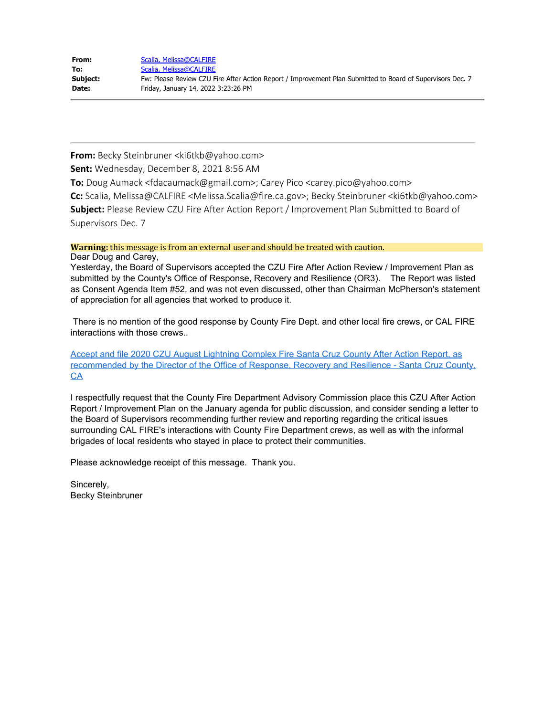| From:    | Scalia, Melissa@CALFIRE                                                                                    |
|----------|------------------------------------------------------------------------------------------------------------|
| To:      | Scalia, Melissa@CALFIRE                                                                                    |
| Subject: | Fw: Please Review CZU Fire After Action Report / Improvement Plan Submitted to Board of Supervisors Dec. 7 |
| Date:    | Friday, January 14, 2022 3:23:26 PM                                                                        |

**From:** Becky Steinbruner <ki6tkb@yahoo.com>

**Sent:** Wednesday, December 8, 2021 8:56 AM

**To:** Doug Aumack <fdacaumack@gmail.com>; Carey Pico <carey.pico@yahoo.com>

**Cc:** Scalia, Melissa@CALFIRE <Melissa.Scalia@fire.ca.gov>; Becky Steinbruner <ki6tkb@yahoo.com> **Subject:** Please Review CZU Fire After Action Report / Improvement Plan Submitted to Board of Supervisors Dec. 7

**Warning:** this message is from an external user and should be treated with caution.

Dear Doug and Carey,

Yesterday, the Board of Supervisors accepted the CZU Fire After Action Review / Improvement Plan as submitted by the County's Office of Response, Recovery and Resilience (OR3). The Report was listed as Consent Agenda Item #52, and was not even discussed, other than Chairman McPherson's statement of appreciation for all agencies that worked to produce it.

There is no mention of the good response by County Fire Dept. and other local fire crews, or CAL FIRE interactions with those crews..

[Accept and file 2020 CZU August Lightning Complex Fire Santa Cruz County After Action Report, as](https://gcc02.safelinks.protection.outlook.com/?url=http%3A%2F%2Fsantacruzcountyca.iqm2.com%2FCitizens%2FDetail_LegiFile.aspx%3FFrame%3D%26MeetingID%3D1886%26MediaPosition%3D%26ID%3D11791%26CssClass%3D&data=04%7C01%7CMelissa.Scalia%40fire.ca.gov%7Ca32728dc60f74595510908d9d7b4dcab%7C447a4ca05405454dad68c98a520261f8%7C1%7C0%7C637777994060465181%7CUnknown%7CTWFpbGZsb3d8eyJWIjoiMC4wLjAwMDAiLCJQIjoiV2luMzIiLCJBTiI6Ik1haWwiLCJXVCI6Mn0%3D%7C3000&sdata=H6LSy%2FJhGpkclLhbTAF2Uq%2B7FvdsOjdvTmOIzkDo%2FEY%3D&reserved=0) [recommended by the Director of the Office of Response, Recovery and Resilience - Santa Cruz County,](https://gcc02.safelinks.protection.outlook.com/?url=http%3A%2F%2Fsantacruzcountyca.iqm2.com%2FCitizens%2FDetail_LegiFile.aspx%3FFrame%3D%26MeetingID%3D1886%26MediaPosition%3D%26ID%3D11791%26CssClass%3D&data=04%7C01%7CMelissa.Scalia%40fire.ca.gov%7Ca32728dc60f74595510908d9d7b4dcab%7C447a4ca05405454dad68c98a520261f8%7C1%7C0%7C637777994060465181%7CUnknown%7CTWFpbGZsb3d8eyJWIjoiMC4wLjAwMDAiLCJQIjoiV2luMzIiLCJBTiI6Ik1haWwiLCJXVCI6Mn0%3D%7C3000&sdata=H6LSy%2FJhGpkclLhbTAF2Uq%2B7FvdsOjdvTmOIzkDo%2FEY%3D&reserved=0) **[CA](https://gcc02.safelinks.protection.outlook.com/?url=http%3A%2F%2Fsantacruzcountyca.iqm2.com%2FCitizens%2FDetail_LegiFile.aspx%3FFrame%3D%26MeetingID%3D1886%26MediaPosition%3D%26ID%3D11791%26CssClass%3D&data=04%7C01%7CMelissa.Scalia%40fire.ca.gov%7Ca32728dc60f74595510908d9d7b4dcab%7C447a4ca05405454dad68c98a520261f8%7C1%7C0%7C637777994060465181%7CUnknown%7CTWFpbGZsb3d8eyJWIjoiMC4wLjAwMDAiLCJQIjoiV2luMzIiLCJBTiI6Ik1haWwiLCJXVCI6Mn0%3D%7C3000&sdata=H6LSy%2FJhGpkclLhbTAF2Uq%2B7FvdsOjdvTmOIzkDo%2FEY%3D&reserved=0)** 

I respectfully request that the County Fire Department Advisory Commission place this CZU After Action Report / Improvement Plan on the January agenda for public discussion, and consider sending a letter to the Board of Supervisors recommending further review and reporting regarding the critical issues surrounding CAL FIRE's interactions with County Fire Department crews, as well as with the informal brigades of local residents who stayed in place to protect their communities.

Please acknowledge receipt of this message. Thank you.

Sincerely, Becky Steinbruner